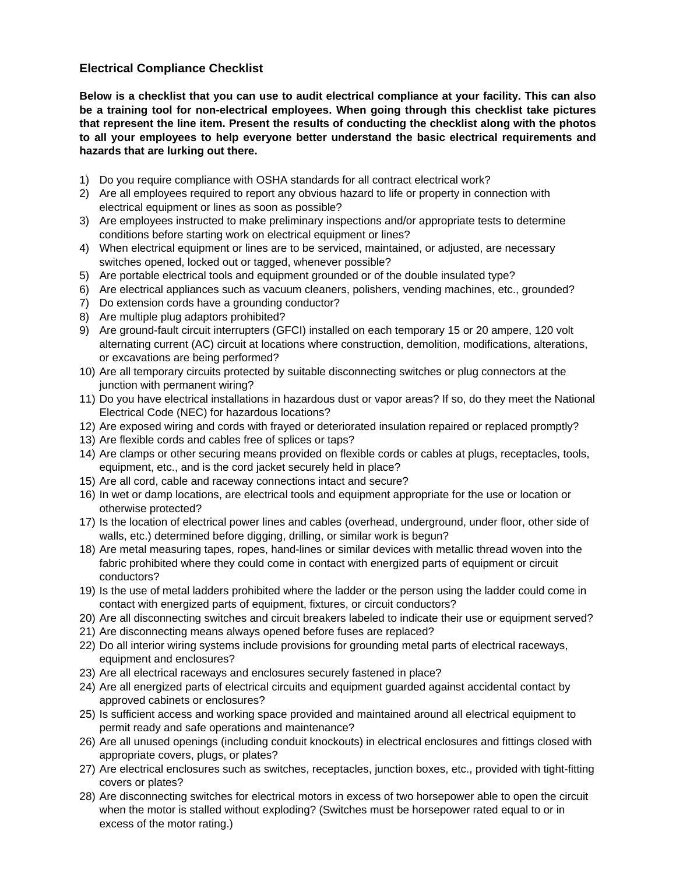## **Electrical Compliance Checklist**

**Below is a checklist that you can use to audit electrical compliance at your facility. This can also be a training tool for non-electrical employees. When going through this checklist take pictures that represent the line item. Present the results of conducting the checklist along with the photos to all your employees to help everyone better understand the basic electrical requirements and hazards that are lurking out there.** 

- 1) Do you require compliance with OSHA standards for all contract electrical work?
- 2) Are all employees required to report any obvious hazard to life or property in connection with electrical equipment or lines as soon as possible?
- 3) Are employees instructed to make preliminary inspections and/or appropriate tests to determine conditions before starting work on electrical equipment or lines?
- 4) When electrical equipment or lines are to be serviced, maintained, or adjusted, are necessary switches opened, locked out or tagged, whenever possible?
- 5) Are portable electrical tools and equipment grounded or of the double insulated type?
- 6) Are electrical appliances such as vacuum cleaners, polishers, vending machines, etc., grounded?
- 7) Do extension cords have a grounding conductor?
- 8) Are multiple plug adaptors prohibited?
- 9) Are ground-fault circuit interrupters (GFCI) installed on each temporary 15 or 20 ampere, 120 volt alternating current (AC) circuit at locations where construction, demolition, modifications, alterations, or excavations are being performed?
- 10) Are all temporary circuits protected by suitable disconnecting switches or plug connectors at the junction with permanent wiring?
- 11) Do you have electrical installations in hazardous dust or vapor areas? If so, do they meet the National Electrical Code (NEC) for hazardous locations?
- 12) Are exposed wiring and cords with frayed or deteriorated insulation repaired or replaced promptly?
- 13) Are flexible cords and cables free of splices or taps?
- 14) Are clamps or other securing means provided on flexible cords or cables at plugs, receptacles, tools, equipment, etc., and is the cord jacket securely held in place?
- 15) Are all cord, cable and raceway connections intact and secure?
- 16) In wet or damp locations, are electrical tools and equipment appropriate for the use or location or otherwise protected?
- 17) Is the location of electrical power lines and cables (overhead, underground, under floor, other side of walls, etc.) determined before digging, drilling, or similar work is begun?
- 18) Are metal measuring tapes, ropes, hand-lines or similar devices with metallic thread woven into the fabric prohibited where they could come in contact with energized parts of equipment or circuit conductors?
- 19) Is the use of metal ladders prohibited where the ladder or the person using the ladder could come in contact with energized parts of equipment, fixtures, or circuit conductors?
- 20) Are all disconnecting switches and circuit breakers labeled to indicate their use or equipment served?
- 21) Are disconnecting means always opened before fuses are replaced?
- 22) Do all interior wiring systems include provisions for grounding metal parts of electrical raceways, equipment and enclosures?
- 23) Are all electrical raceways and enclosures securely fastened in place?
- 24) Are all energized parts of electrical circuits and equipment guarded against accidental contact by approved cabinets or enclosures?
- 25) Is sufficient access and working space provided and maintained around all electrical equipment to permit ready and safe operations and maintenance?
- 26) Are all unused openings (including conduit knockouts) in electrical enclosures and fittings closed with appropriate covers, plugs, or plates?
- 27) Are electrical enclosures such as switches, receptacles, junction boxes, etc., provided with tight-fitting covers or plates?
- 28) Are disconnecting switches for electrical motors in excess of two horsepower able to open the circuit when the motor is stalled without exploding? (Switches must be horsepower rated equal to or in excess of the motor rating.)